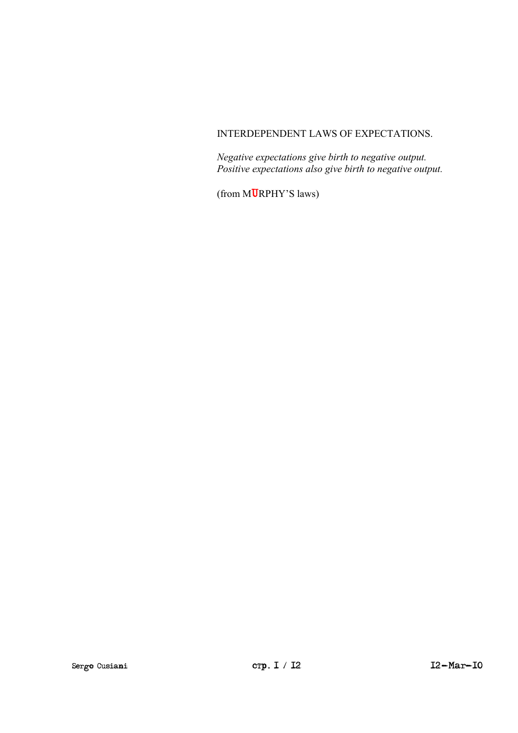#### INTERDEPENDENT LAWS OF EXPECTATIONS.

*Negative expectations give birth to negative output. Positive expectations also give birth to negative output.* 

(from MURPHY'S laws)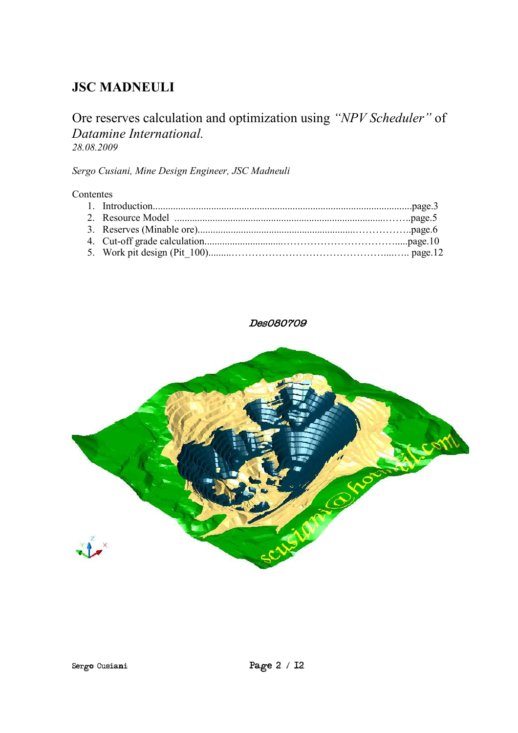# **JSC MADNEULI**

## Ore reserves calculation and optimization using *"NPV Scheduler"* of *Datamine International. 28.08.2009*

*Sergo Cusiani, Mine Design Engineer, JSC Madneuli* 

#### Contentes

### Des080709

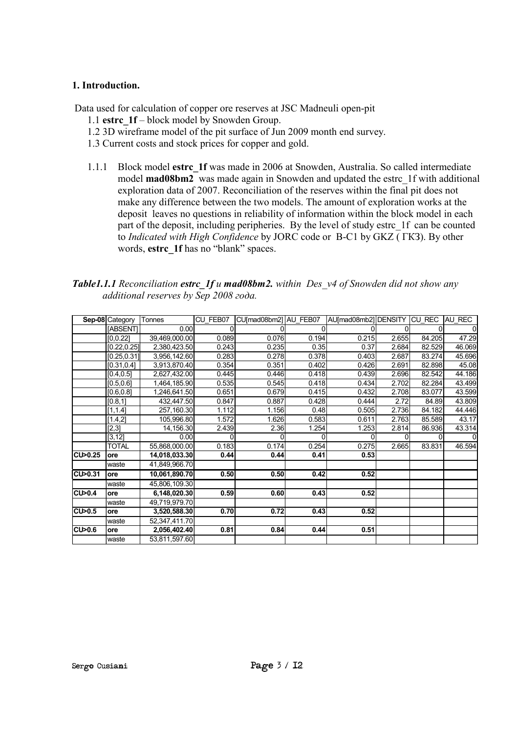#### **1. Introduction.**

Data used for calculation of copper ore reserves at JSC Madneuli open-pit

- 1.1 **еstrc\_1f** block model by Snowden Group.
- 1.2 3D wireframe model of the pit surface of Jun 2009 month end survey.
- 1.3 Current costs and stock prices for copper and gold.
- 1.1.1 Block model **estrc\_1f** was made in 2006 at Snowden, Australia. So called intermediate model **mad08bm2** was made again in Snowden and updated the estrc\_1f with additional exploration data of 2007. Reconciliation of the reserves within the final pit does not make any difference between the two models. The amount of exploration works at the deposit leaves no questions in reliability of information within the block model in each part of the deposit, including peripheries. By the level of study estrc\_1f can be counted to *Indicated with High Confidence* by JORC code or В-C1 by GKZ ( ГКЗ). By other words, **estrc\_1f** has no "blank" spaces.

*Table1.1.1 Reconciliation estrc\_1f и mad08bm2. within Des\_v4 of Snowden did not show any additional reserves by Sep 2008 года.* 

|         | Sep-08 Category | Tonnes        | CU FEB07 | CU[mad08bm2] AU FEB07 |       | AU[mad08mb2] DENSITY |       | CU REC | AU REC |
|---------|-----------------|---------------|----------|-----------------------|-------|----------------------|-------|--------|--------|
|         | <b>IABSENTI</b> | 0.00          |          |                       | 0     |                      |       |        |        |
|         | [0, 0.22]       | 39,469,000.00 | 0.089    | 0.076                 | 0.194 | 0.215                | 2.655 | 84.205 | 47.29  |
|         | [0.22, 0.25]    | 2,380,423.50  | 0.243    | 0.235                 | 0.35  | 0.37                 | 2.684 | 82.529 | 46.069 |
|         | [0.25, 0.31]    | 3,956,142.60  | 0.283    | 0.278                 | 0.378 | 0.403                | 2.687 | 83.274 | 45.696 |
|         | [0.31, 0.4]     | 3,913,870.40  | 0.354    | 0.351                 | 0.402 | 0.426                | 2.691 | 82.898 | 45.08  |
|         | [0.4, 0.5]      | 2,627,432.00  | 0.445    | 0.446                 | 0.418 | 0.439                | 2.696 | 82.542 | 44.186 |
|         | [0.5, 0.6]      | 1,464,185.90  | 0.535    | 0.545                 | 0.418 | 0.434                | 2.702 | 82.284 | 43.499 |
|         | [0.6, 0.8]      | 1,246,641.50  | 0.651    | 0.679                 | 0.415 | 0.432                | 2.708 | 83.077 | 43.599 |
|         | [0.8, 1]        | 432,447.50    | 0.847    | 0.887                 | 0.428 | 0.444                | 2.72  | 84.89  | 43.809 |
|         | [1, 1.4]        | 257,160.30    | 1.112    | 1.156                 | 0.48  | 0.505                | 2.736 | 84.182 | 44.446 |
|         | [1.4,2]         | 105,996.80    | 1.572    | 1.626                 | 0.583 | 0.611                | 2.763 | 85.589 | 43.17  |
|         | [2,3]           | 14,156.30     | 2.439    | 2.36                  | 1.254 | 1.253                | 2.814 | 86.936 | 43.314 |
|         | [3, 12]         | 0.00          | 0        |                       | U     |                      |       |        |        |
|         | TOTAL           | 55,868,000.00 | 0.183    | 0.174                 | 0.254 | 0.275                | 2.665 | 83.831 | 46.594 |
| CU>0.25 | ore             | 14,018,033.30 | 0.44     | 0.44                  | 0.41  | 0.53                 |       |        |        |
|         | waste           | 41,849,966.70 |          |                       |       |                      |       |        |        |
| CU>0.31 | ore             | 10,061,890.70 | 0.50     | 0.50                  | 0.42  | 0.52                 |       |        |        |
|         | waste           | 45,806,109.30 |          |                       |       |                      |       |        |        |
| CU>0.4  | ore             | 6,148,020.30  | 0.59     | 0.60                  | 0.43  | 0.52                 |       |        |        |
|         | waste           | 49,719,979.70 |          |                       |       |                      |       |        |        |
| CU>0.5  | ore             | 3,520,588.30  | 0.70     | 0.72                  | 0.43  | 0.52                 |       |        |        |
|         | waste           | 52,347,411.70 |          |                       |       |                      |       |        |        |
| CU>0.6  | ore             | 2,056,402.40  | 0.81     | 0.84                  | 0.44  | 0.51                 |       |        |        |
|         | waste           | 53,811,597.60 |          |                       |       |                      |       |        |        |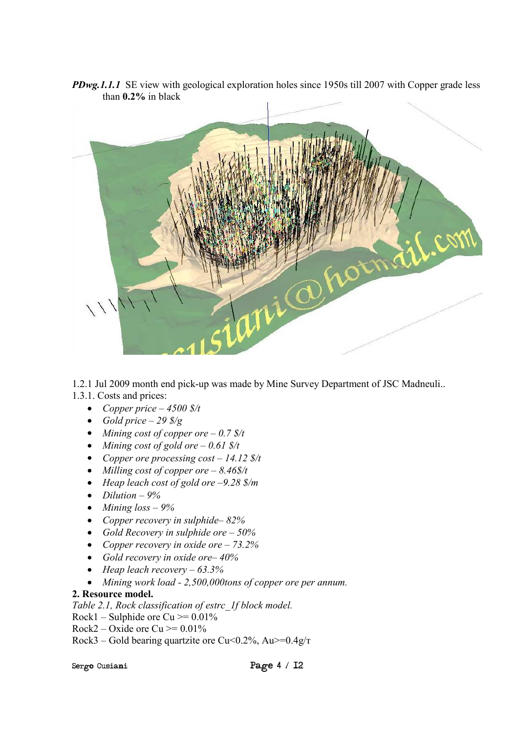

*PDwg.1.1.1* SE view with geological exploration holes since 1950s till 2007 with Copper grade less than **0.2%** in black

1.2.1 Jul 2009 month end pick-up was made by Mine Survey Department of JSC Madneuli.. 1.3.1. Costs and prices:

- *Copper price 4500 \$/t*
- *Gold price 29 \$/g*
- *Mining cost of copper ore 0.7 \$/t*
- *Mining cost of gold ore 0.61 \$/t*
- *Copper ore processing cost 14.12 \$/t*
- *Milling cost of copper ore 8.46\$/t*
- *Heap leach cost of gold ore –9.28 \$/т*
- *Dilution 9%*
- *Mining loss 9%*
- *Copper recovery in sulphide– 82%*
- *Gold Recovery in sulphide ore 50%*
- *Copper recovery in oxide ore 73.2%*
- *Gold recovery in oxide ore– 40%*
- *Heap leach recovery 63.3%*
- *Mining work load 2,500,000tons of copper ore per annum.*

#### **2. Resource model.**

*Table 2.1, Rock classification of estrc\_1f block model.* 

- Rock1 Sulphide ore Cu  $\ge$  = 0.01%
- Rock2 Oxide ore Cu  $> = 0.01\%$
- Rock3 Gold bearing quartzite ore Cu<0.2%, Au >= $0.4g/\text{T}$

Sergo Cusiani Page 4 / 12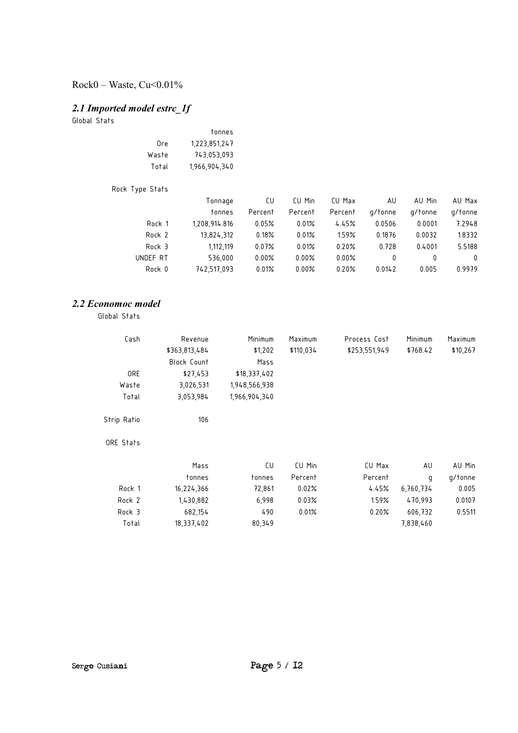### Rock0 – Waste, Cu<0.01%

### *2.1 Imported model estrc\_1f*

Global Stats

|       | tonnes        |
|-------|---------------|
| 0re   | 1,223,851,247 |
| Waste | 743.053.093   |
| Total | 1,966,904,340 |

| Rock Type Stats |               |         |          |         |         |         |          |
|-----------------|---------------|---------|----------|---------|---------|---------|----------|
|                 | Tonnage       | CU      | CU Min   | CU Max  | AU      | AU Min  | AU Max   |
|                 | tonnes        | Percent | Percent  | Percent | a/tonne | g/tonne | g/tonne  |
| Rock 1          | 1.208.914.816 | 0.05%   | 0.01%    | 4.45%   | 0.0506  | 0.0001  | 7.2948   |
| Rock 2          | 13.824.312    | 0.18%   | 0.01%    | 1.59%   | 0.1876  | 0.0032  | 1.8332   |
| Rock 3          | 1.112.119     | 0.07%   | 0.01%    | 0.20%   | 0.728   | 0.4001  | 5.5188   |
| UNDEF RT        | 536.000       | 0.00%   | 0.00%    | 0.00%   | 0       | 0       | $\Omega$ |
| Rock 0          | 742.517.093   | 0.01%   | $0.00\%$ | 0.20%   | 0.0142  | 0.005   | 0.9979   |

#### *2.2 Economoc model*

Global Stats

| Revenue            | Minimum       | Maximum   | Process Cost  | Minimum   | Maximum  |
|--------------------|---------------|-----------|---------------|-----------|----------|
| \$363,813,484      | \$1,202       | \$110,034 | \$253,551,949 | \$768.42  | \$10,267 |
| <b>Block Count</b> | Mass          |           |               |           |          |
| \$27,453           | \$18,337,402  |           |               |           |          |
| 3,026,531          | 1,948,566,938 |           |               |           |          |
| 3,053,984          | 1,966,904,340 |           |               |           |          |
| 106                |               |           |               |           |          |
|                    |               |           |               |           |          |
| Mass               | CU            | CU Min    | CU Max        | AU        | AU Min   |
| tonnes             | tonnes        | Percent   | Percent       | q         | g/tonne  |
| 16,224,366         | 72,861        | 0.02%     | 4.45%         | 6,760,734 | 0.005    |
| 1,430,882          | 6,998         | 0.03%     | 1.59%         | 470,993   | 0.0107   |
| 682,154            | 490           | 0.01%     | 0.20%         | 606,732   | 0.5511   |
| 18,337,402         | 80,349        |           |               | 7,838,460 |          |
|                    |               |           |               |           |          |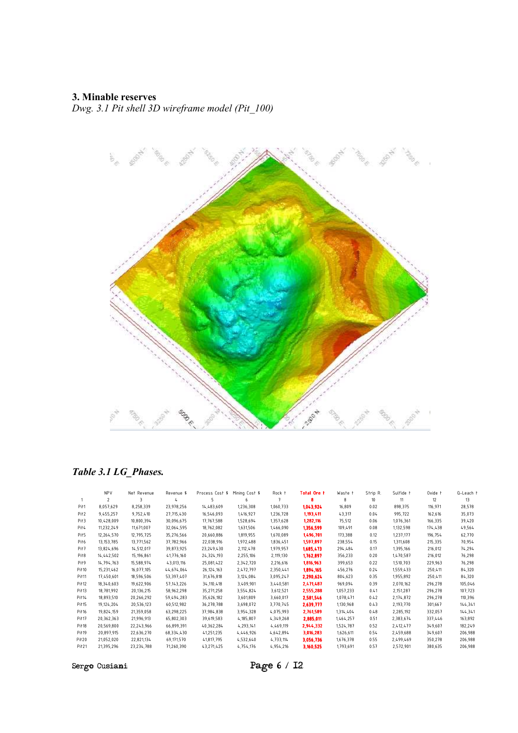### **3. Minable reserves**

*Dwg. 3.1 Pit shell 3D wireframe model (Pit\_100)*



### *Table 3.1 LG\_Phases.*

|                   | <b>NPV</b>               | Net Revenue | Revenue \$   | Process Cost \$ | Mining Cost \$ | Rock t    | <b>Total Ore t</b> | Waste t   | Strip R. | Sulfide t | Oxide t | Q-Leach t |
|-------------------|--------------------------|-------------|--------------|-----------------|----------------|-----------|--------------------|-----------|----------|-----------|---------|-----------|
|                   | $\overline{\phantom{a}}$ | 3           |              |                 | 6              |           |                    | 8         | 10       | 11        | 12      | 13        |
| Pit <sub>1</sub>  | 8.057.629                | 8,258,339   | 23.978.256   | 14,483,609      | 1,236,308      | 1,060,733 | 1,043,924          | 16.809    | 0.02     | 898,375   | 116,971 | 28,578    |
| Pit <sub>2</sub>  | 9,455,257                | 9,752,410   | 27.715.430   | 16,546,093      | 1,416,927      | 1,236,728 | 1,193,411          | 43,317    | 0.04     | 995,722   | 162,616 | 35,073    |
| Pit <sub>3</sub>  | 10,428,009               | 10,800,394  | 30,096,675   | 17,767,588      | 1,528,694      | 1,357,628 | 1,282,116          | 75,512    | 0.06     | 1,076,361 | 166,335 | 39,420    |
| Pit <sub>4</sub>  | 11.232.249               | 11.671.007  | 32,064,595   | 18,762,082      | 1,631,506      | 1,466,090 | 1,356,599          | 109.491   | 0.08     | 1,132,598 | 174,438 | 49,564    |
| Pit <sub>5</sub>  | 12,264,570               | 12,795,725  | 35,276,566   | 20,660,886      | 1,819,955      | 1,670,089 | 1,496,701          | 173,388   | 0.12     | 1,237,177 | 196,754 | 62,770    |
| Pit <sub>6</sub>  | 13.153.785               | 13.771.562  | 37.782.966   | 22.038.916      | 1.972.488      | 1.836.451 | 1,597,897          | 238.554   | 0.15     | 1.311.608 | 215,335 | 70,954    |
| Pit7              | 13,824,696               | 14,512,017  | 39,873,925   | 23,249,430      | 2,112,478      | 1,979,957 | 1,685,473          | 294,484   | 0.17     | 1,395,166 | 216,012 | 74,294    |
| Pit <sub>8</sub>  | 14,442,502               | 15,196,861  | 41,776,160   | 24,324,193      | 2,255,106      | 2,119,130 | 1,762,897          | 356.233   | 0.20     | 1,470,587 | 216,012 | 76,298    |
| Pit <sub>9</sub>  | 14,794,763               | 15,588,974  | 43,013,116   | 25,081,422      | 2,342,720      | 2,216,616 | 1,816,963          | 399,653   | 0.22     | 1,510,703 | 229,963 | 76,298    |
| Pit <sub>10</sub> | 15,231,462               | 16,077,105  | 44,674,064   | 26, 124, 163    | 2,472,797      | 2,350,441 | 1,894,165          | 456,276   | 0.24     | 1,559,433 | 250,411 | 84,320    |
| Pit <sub>11</sub> | 17.450.601               | 18,596,506  | 53.397.407   | 31.676.818      | 3,124,084      | 3,095,247 | 2,290,624          | 804.623   | 0.35     | 1.955.892 | 250,411 | 84,320    |
| Pit <sub>12</sub> | 18,340,603               | 19,622,906  | 57, 143, 226 | 34, 110, 418    | 3,409,901      | 3,440,581 | 2,471,487          | 969.094   | 0.39     | 2,070,162 | 296,278 | 105,046   |
| Pit <sub>13</sub> | 18.781.992               | 20,136,215  | 58.962.298   | 35.271.258      | 3,554,824      | 3,612,521 | 2,555,288          | 1,057,233 | 0.41     | 2,151,287 | 296.278 | 107,723   |
| Pit14             | 18,893,510               | 20,266,292  | 59,494,283   | 35,626,182      | 3,601,809      | 3,660,017 | 2,581,546          | 1,078,471 | 0.42     | 2,174,872 | 296,278 | 110,396   |
| Pit <sub>15</sub> | 19,124,204               | 20,536,123  | 60,512,982   | 36,278,788      | 3,698,072      | 3,770,745 | 2,639,777          | 1,130,968 | 0.43     | 2,193,770 | 301,667 | 144,341   |
| Pit <sub>16</sub> | 19,824,159               | 21,359,058  | 63,298,225   | 37,984,838      | 3,954,328      | 4,075,993 | 2,761,589          | 1,314,404 | 0.48     | 2,285,192 | 332,057 | 144,341   |
| Pit <sub>17</sub> | 20,362,363               | 21.996.913  | 65,802,303   | 39,619,583      | 4,185,807      | 4,349,268 | 2,885,011          | 1,464,257 | 0.51     | 2,383,674 | 337,446 | 163,892   |
| Pit <sub>18</sub> | 20,569,800               | 22,243,966  | 66.899.391   | 40,362,284      | 4,293,141      | 4,469,119 | 2,944,332          | 1.524.787 | 0.52     | 2,412,477 | 349,607 | 182,249   |
| Pit <sub>19</sub> | 20,897,915               | 22,636,270  | 68,334,430   | 41,251,235      | 4,446,926      | 4,642,894 | 3,016,283          | 1,626,611 | 0.54     | 2,459,688 | 349,607 | 206,988   |
| Pit <sub>20</sub> | 21,052,020               | 22,821,134  | 69,171,570   | 41,817,795      | 4,532,640      | 4,733,114 | 3,056,736          | 1,676,378 | 0.55     | 2,499,469 | 350,278 | 206,988   |
| Pit21             | 21,395,296               | 23,234,788  | 71,260,390   | 43,271,425      | 4,754,176      | 4,954,216 | 3,160,525          | 1.793.691 | 0.57     | 2,572,901 | 380,635 | 206,988   |

Sergo Cusiani Page 6 / 12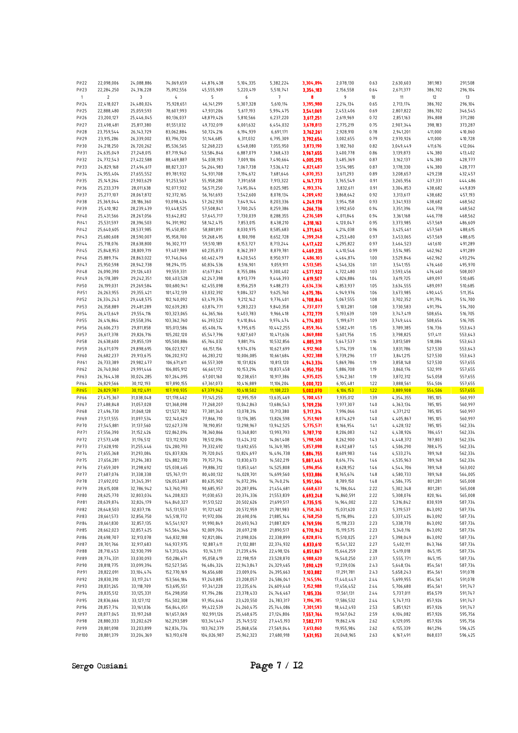| Pit22             | 22,098,006               | 24,088,886               | 74,069,659                 | 44,876,438                 | 5,104,335                | 5,382,224                | 3,304,094              | 2,078,130                | 0.63         | 2,630,603              | 381,983            | 291,508            |
|-------------------|--------------------------|--------------------------|----------------------------|----------------------------|--------------------------|--------------------------|------------------------|--------------------------|--------------|------------------------|--------------------|--------------------|
|                   |                          |                          |                            |                            |                          |                          |                        |                          |              |                        |                    |                    |
| Pit23             | 22,284,250               | 24,316,228               | 75,092,556                 | 45,555,909                 | 5,220,419                | 5,510,741                | 3,354,183              | 2,156,558                | 0.64         | 2,671,377              | 386,702            | 296,104            |
| $\mathbf{1}$      | $\overline{\mathbf{c}}$  | 3                        | 4                          | 5                          | 6                        | 7                        | 8                      | 9                        | $10$         | 11                     | 12                 | 13                 |
| Pit24             | 22,418,027               | 24,480,024               | 75,928,651                 | 46, 141, 299               | 5,307,328                | 5,610,114                | 3,395,980              | 2,214,134                | 0.65         | 2,713,174              | 386,702            | 296,104            |
|                   |                          |                          |                            |                            |                          |                          |                        |                          |              |                        |                    |                    |
| Pit25             | 22,888,480               | 25,059,593               | 78,607,993                 | 47,931,206                 | 5,617,193                | 5,994,475                | 3,541,069              | 2,453,406                | 0.69         | 2,807,822              | 386,702            | 346,545            |
| Pit26             | 23,200,127               | 25,446,045               | 80,136,037                 | 48,879,426                 | 5,810,566                | 6,237,220                | 3,617,251              | 2,619,969                | 0.72         | 2,851,163              | 394,808            | 371,280            |
| Pit27             | 23,498,481               | 25,817,380               | 81,551,032                 | 49,732,019                 | 6,001,632                | 6,454,032                | 3,678,813              | 2,775,219                | 0.75         | 2,907,344              | 398,183            | 373,287            |
|                   |                          |                          |                            |                            |                          |                          |                        |                          |              |                        |                    |                    |
| Pit28             | 23,759,544               | 26, 143, 729             | 83,062,884                 | 50,724,216                 | 6,194,939                | 6,691,171                | 3,762,261              | 2,928,910                | 0.78         | 2,941,201              | 411,000            | 410,060            |
| Pit29             | 23,915,286               | 26,339,002               | 83,796,720                 | 51,146,685                 | 6,311,032                | 6,795,309                | 3,792,654              | 3,002,655                | 0.79         | 2,970,926              | 411,000            | 410,728            |
|                   |                          |                          |                            |                            |                          |                          |                        |                          |              |                        |                    |                    |
| Pit30             | 24,218,250               | 26,720,262               | 85,536,565                 | 52,268,223                 | 6,548,080                | 7,055,950                | 3,873,190              | 3,182,760                | 0.82         | 3,049,449              | 411,676            | 412,064            |
| Pit31             | 24,635,049               | 27,248,015               | 87,719,940                 | 53,584,846                 | 6,887,079                | 7,368,433                | 3,967,655              | 3,400,778                | 0.86         | 3,139,873              | 414,380            | 413,402            |
| Pit32             | 24,772,543               | 27,422,588               | 88,469,887                 | 54,038,193                 | 7,009,106                | 7,490,664                | 4,005,295              | 3,485,369                | 0.87         | 3,162,137              | 414,380            | 428,777            |
|                   |                          |                          |                            |                            |                          |                          |                        |                          |              |                        |                    |                    |
| Pit33             | 24,829,168               | 27,494,617               | 88,827,337                 | 54,264,983                 | 7,067,738                | 7,536,472                | 4,021,487              | 3,514,985                | 0.87         | 3,178,330              | 414,380            | 428,777            |
| Pit 34            | 24,955,404               | 27,655,552               | 89,781,932                 | 54,931,708                 | 7,194,672                | 7,681,646                | 4,070,353              | 3,611,293                | 0.89         | 3,208,657              | 429,238            | 432,457            |
| Pit35             | 25, 149, 264             | 27,903,629               | 91,253,567                 | 55,958,280                 | 7,391,658                | 7,913,322                | 4,147,773              | 3,765,549                | 0.91         | 3,265,956              | 437,331            | 444,486            |
|                   |                          |                          |                            |                            |                          |                          |                        |                          |              |                        |                    |                    |
| Pit36             | 25,233,379               | 28,011,638               | 92,077,932                 | 56,571,250                 | 7,495,044                | 8,025,985                | 4,193,374              | 3,832,611                | 0.91         | 3,304,853              | 438,682            | 449,839            |
| Pit37             | 25,277,107               | 28,067,872               | 92,372,165                 | 56,761,693                 | 7,542,600                | 8,078,134                | 4,209,492              | 3,868,642                | 0.92         | 3,313,617              | 438,682            | 457,193            |
| Pit38             | 25,369,044               | 28,186,360               | 93,098,434                 | 57,262,930                 | 7,649,144                | 8,203,336                | 4,249,178              | 3,954,158                | 0.93         | 3,341,933              | 438,682            | 468,562            |
|                   |                          |                          |                            |                            |                          |                          |                        |                          |              |                        |                    |                    |
| Pit39             | 25,410,182               | 28,239,439               | 93,448,525                 | 57,508,841                 | 7,700,245                | 8,259,386                | 4,266,736              | 3,992,650                | 0.94         | 3,351,396              | 446,778            | 468,562            |
| Pit 40            | 25,431,566               | 28,267,056               | 93,642,812                 | 57,645,717                 | 7,730,039                | 8,288,355                | 4,276,509              | 4,011,846                | 0.94         | 3,361,168              | 446,778            | 468,562            |
| Pit41             | 25,531,597               | 28,396,503               | 94,391,992                 | 58, 142, 475               | 7,853,015                | 8,438,210                | 4,318,163              | 4,120,047                | 0.95         | 3,373,985              | 457,569            | 486,609            |
|                   |                          |                          |                            |                            |                          |                          |                        |                          |              |                        |                    |                    |
| Pit 42            | 25,640,605               | 28,537,985               | 95,450,851                 | 58,881,891                 | 8,030,975                | 8,585,683                | 4,371,645              | 4,214,038                | 0.96         | 3,425,461              | 457,569            | 488,615            |
| Pit 43            | 25,680,608               | 28,590,007               | 95,958,700                 | 59,268,495                 | 8,100,198                | 8,652,728                | 4,399,248              | 4,253,480                | 0.97         | 3,453,065              | 457,569            | 488,615            |
| Pit 44            | 25,718,076               | 28,638,800               | 96,302,717                 | 59,510,189                 | 8, 153, 727              | 8,713,244                | 4,417,422              | 4,295,822                | 0.97         | 3,464,523              | 461,610            | 491,289            |
|                   |                          |                          |                            |                            |                          |                          |                        |                          |              |                        |                    |                    |
| Pit 45            | 25,848,953               | 28,809,719               | 97,407,989                 | 60,235,873                 | 8,362,397                | 8,879,781                | 4,469,235              | 4,410,546                | 0.99         | 3,514,985              | 462,962            | 491,289            |
| Pit 46            | 25,889,714               | 28,863,022               | 97,746,046                 | 60,462,479                 | 8,420,545                | 8,950,977                | 4,486,103              | 4,464,874                | 1.00         | 3,529,846              | 462,962            | 493,294            |
| Pit 47            | 25,950,598               | 28,942,738               | 98,294,175                 | 60,834,536                 | 8,516,901                | 9,059,911                | 4,513,585              | 4,546,326                | 1.01         | 3,541,155              | 476,460            | 495,970            |
|                   |                          |                          |                            |                            |                          |                          |                        |                          |              |                        |                    |                    |
| Pit 48            | 26,090,390               | 29,126,403               | 99,559,331                 | 61,677,841                 | 8,755,086                | 9,300,402                | 4,577,922              | 4,722,480                | 1.03         | 3,593,456              | 476,460            | 508,007            |
| Pit 49            | 26,178,389               | 29,242,351               | 100,403,528                | 62,247,398                 | 8,913,779                | 9,446,393                | 4,619,507              | 4,826,886                | 1.04         | 3,619,725              | 489,097            | 510,685            |
| Pit50             | 26,199,031               | 29,269,584               | 100,680,941                | 62,455,098                 | 8,956,259                | 9,488,273                | 4,634,336              | 4,853,937                | 1.05         | 3,634,555              | 489,097            | 510,685            |
|                   |                          |                          |                            |                            |                          |                          |                        |                          |              |                        |                    |                    |
| Pit51             | 26,263,955               | 29,355,421               | 101,472,139                | 63,032,392                 | 9,084,327                | 9,625,760                | 4,675,784              | 4,949,976                | 1.06         | 3,673,985              | 490,445            | 511,354            |
| Pit52             | 26,334,243               | 29,448,575               | 102,140,092                | 63,479,376                 | 9,212,142                | 9,776,401                | 4,708,846              | 5,067,555                | 1.08         | 3,702,352              | 491,794            | 514,700            |
| Pit53             | 26,358,889               | 29,481,289               | 102,639,283                | 63,874,771                 | 9,283,223                | 9,840,358                | 4,737,077              | 5,103,281                | 1.08         | 3,730,583              | 491,794            | 514,700            |
|                   |                          |                          |                            |                            |                          |                          |                        |                          |              |                        |                    |                    |
| Pit54             | 26,413,649               | 29,554,116               | 103,323,065                | 64,365,166                 | 9,403,783                | 9,966,418                | 4,772,779              | 5,193,639                | 1.09         | 3,747,419              | 508,654            | 516,705            |
| Pit55             | 26,416,864               | 29,558,394               | 103,362,760                | 64,393,522                 | 9,410,844                | 9,974,474                | 4,774,803              | 5,199,671                | 1.09         | 3,749,444              | 508,654            | 516,705            |
| Pit56             | 26,606,273               | 29,811,858               | 105,013,586                | 65,406,114                 | 9,795,615                | 10,442,255               | 4,859,764              | 5,582,491                | 1.15         | 3,789,385              | 516,736            | 553,643            |
|                   |                          |                          |                            |                            |                          |                          |                        |                          |              |                        |                    |                    |
| Pit57             | 26,617,378               | 29,826,716               | 105,202,120                | 65,547,796                 | 9,827,607                | 10,471,636               | 4,869,880              | 5,601,756                | 1.15         | 3,798,825              | 517,411            | 553,643            |
| Pit58             | 26,638,600               | 29,855,139               | 105,500,886                | 65,764,032                 | 9,881,714                | 10,532,856               | 4,885,319              | 5,647,537                | 1.16         | 3,813,589              | 518,086            | 553,643            |
| Pit59             | 26,671,079               | 29,898,695               | 106,023,927                | 66,151,156                 | 9,974,076                | 10,627,699               | 4,912,960              | 5,714,739                | 1.16         | 3,831,786              | 527,530            | 553,643            |
|                   |                          |                          |                            |                            |                          |                          |                        |                          |              |                        |                    |                    |
| Pit60             | 26,682,237               | 29,913,675               | 106,202,972                | 66,283,212                 | 10,006,085               | 10,661,684               | 4,922,388              | 5,739,296                | 1.17         | 3,841,215              | 527,530            | 553,643            |
|                   |                          |                          |                            |                            |                          |                          |                        |                          |              |                        |                    |                    |
|                   |                          |                          |                            |                            |                          |                          |                        |                          |              |                        |                    |                    |
| Pit <sub>61</sub> | 26,733,389               | 29,982,477               | 106,671,611                | 66,557,309                 | 10,131,826               | 10,813,120               | 4,943,334              | 5,869,786                | 1.19         | 3,858,148              | 527,530            | 557,655            |
| Pit <sub>62</sub> | 26,740,060               | 29,991,446               | 106,805,912                | 66,661,172                 | 10,153,294               | 10,837,458               | 4,950,750              | 5,886,708                | 1.19         | 3,860,176              | 532,919            | 557,655            |
| Pit63             | 26,764,438               | 30,024,285               | 107,264,095                | 67,001,160                 | 10,238,651               | 10,917,386               | 4,975,025              | 5,942,361                | 1.19         | 3,872,312              | 545,058            | 557,655            |
|                   |                          |                          |                            |                            |                          |                          |                        |                          |              |                        |                    |                    |
| Pit64             | 26,829,566               | 30,112,193               | 107,890,155                | 67,361,073                 | 10,416,889               | 11,106,204               | 5,000,723              | 6,105,481                | 1.22         | 3,888,561              | 554,506            | 557,655            |
| <b>Pit65</b>      | 26,829,787               | 30,112,491               | 107,910,935                | 67,379,942                 | 10,418,502               | 11,108,223               | 5,002,070              | 6,106,153                | 1.22         | 3,889,908              | 554,506            | 557,655            |
| Pit66             | 27,475,367               | 31,038,048               | 121, 178, 462              | 77, 145, 255               | 12,995,159               | 13,635,469               | 5,700,457              | 7,935,012                | 1.39         | 4,354,355              | 785,105            | 560,997            |
| Pit67             | 27,488,848               | 31,057,028               | 121,368,098                | 77,268,207                 | 13,042,863               | 13,686,543               | 5,709,236              | 7,977,307                | 1.40         | 4,363,134              | 785,105            | 560,997            |
|                   |                          |                          |                            |                            |                          |                          |                        |                          |              |                        |                    |                    |
| Pit68             | 27,496,730               | 31,068,128               | 121,527,782                | 77,381,340                 | 13,078,314               | 13,713,380               | 5,717,314              | 7,996,066                | 1.40         | 4,371,212              | 785,105            | 560,997            |
| Pit69             | 27,517,555               | 31,097,534               | 122,140,629                | 77,866,710                 | 13,176,385               | 13,826,598               | 5,751,969              | 8,074,629                | 1.40         | 4,405,867              | 785,105            | 560,997            |
| Pit70             | 27,545,881               | 31,137,560               | 122,627,378                | 78,190,851                 | 13,298,967               | 13,942,525               |                        | 8,166,954                | 1.41         | 4,428,132              | 785,105            | 562,334            |
|                   |                          |                          |                            |                            |                          |                          | 5,775,571              |                          |              |                        |                    |                    |
| Pit71             | 27,556,390               | 31,152,426               | 122,862,094                | 78,360,866                 | 13,348,801               | 13,993,793               | 5,787,710              | 8,206,083                | 1.42         | 4,438,926              | 786,451            | 562,334            |
| Pit72             | 27,573,408               | 31,176,512               | 123,112,920                | 78,512,096                 | 13,424,312               | 14,061,408               | 5,798,508              | 8,262,900                | 1.43         | 4,448,372              | 787,803            | 562,334            |
| Pit73             | 27,628,910               | 31,255,446               | 124,280,793                | 79,332,692                 | 13,692,655               | 14, 349, 785             | 5,857,098              | 8,492,687                | 1.45         | 4,506,290              | 788,475            | 562,334            |
|                   |                          |                          |                            |                            |                          |                          |                        |                          |              |                        |                    |                    |
| Pit 74            | 27,655,368               | 31,293,084               | 124,837,826                | 79,720,045                 | 13,824,697               | 14,494,738               | 5,884,755              | 8,609,983                | 1.46         | 4,533,274              | 789,148            | 562,334            |
| Pit75             | 27,656,281               | 31,294,383               | 124,882,770                | 79,757,714                 | 13,830,673               | 14,502,219               | 5,887,445              | 8,614,774                | 1.46         | 4,535,963              | 789,148            | 562,334            |
| Pit76             | 27,659,309               | 31,298,692               | 125,038,465                | 79,886,312                 | 13,853,461               | 14,525,808               | 5,896,856              | 8,628,952                | 1.46         | 4,544,706              | 789,148            | 563,002            |
| Pit77             | 27,687,076               |                          |                            |                            | 14,028,701               |                          |                        |                          | 1.48         |                        |                    |                    |
|                   |                          | 31,338,338               | 125, 767, 171              | 80,400,132                 |                          | 14,699,560               | 5,933,886              | 8,765,674                |              | 4,580,733              | 789,148            | 564,005            |
| Pit78             | 27,692,012               | 31, 345, 391             | 126,053,687                | 80,635,902                 | 14,072,394               | 14,740,214               | 5,951,064              | 8,789,150                | 1.48         | 4,584,775              | 801,281            | 565,008            |
| Pit79             | 28,615,008               | 32,786,942               | 143,760,793                | 90,685,957                 | 20,287,894               | 21,454,681               | 6,668,637              | 14,786,044               | 2.22         | 5,302,348              | 801,281            | 565,008            |
| Pit80             | 28,625,770               | 32,803,034               | 144,208,023                | 91,030,653                 | 20,374,336               | 21,553,839               | 6,693,248              | 14,860,591               | 2.22         | 5,308,076              | 820,164            | 565,008            |
|                   |                          |                          |                            |                            |                          |                          |                        |                          |              |                        |                    |                    |
| Pit <sub>81</sub> | 28,639,874               | 32,824,179               | 144,840,327                | 91,513,522                 | 20,502,626               | 21,699,517               | 6,735,515              | 14,964,002               | 2.22         | 5,316,842              | 830,939            | 587,734            |
| Pit <sub>82</sub> | 28,648,503               | 32,837,116               | 145, 131, 557              | 91,721,482                 | 20,572,959               | 21,781,983               | 6,750,363              | 15,031,620               | 2.23         | 5,319,537              | 843,092            | 587,734            |
| Pit83             | 28,661,573               | 32,856,750               | 145,518,772                | 91,972,006                 | 20,690,016               | 21,885,144               | 6,768,250              | 15, 116, 894             | 2.23         | 5,337,425              | 843,092            | 587,734            |
|                   |                          |                          |                            |                            |                          |                          |                        |                          |              |                        |                    |                    |
| Pit84             | 28,661,830               | 32,857,135               | 145,541,927                | 91,990,849                 | 20,693,943               | 21,887,829               | 6,769,596              | 15, 118, 233             | 2.23         | 5,338,770              | 843,092            | 587,734            |
| Pit85             | 28,662,023               | 32,857,425               | 145,564,346                | 92,009,704                 | 20,697,218               | 21,890,517               | 6,770,942              | 15, 119, 575             | 2.23         | 5,340,116              | 843,092            | 587,734            |
| Pit86             | 28,698,707               | 32,913,078               | 146,832,188                | 92,821,084                 | 21,098,026               | 22,338,899               | 6,828,874              | 15,510,025               | 2.27         | 5,398,049              | 843,092            | 587,734            |
|                   |                          |                          |                            |                            |                          |                          |                        |                          |              |                        |                    |                    |
| Pit87             | 28,701,766               | 32,917,683               | 146,937,975                | 92,887,411                 | 21,132,881               | 22,374,932               | 6,833,610              | 15,541,322               | 2.27         | 5,402,111              | 843,766            | 587,734            |
| Pit88             | 28,710,453               | 32,930,799               | 147,313,404                | 93, 143, 111               | 21,239,494               | 22,498,126               | 6,851,867              | 15,646,259               | 2.28         | 5,419,018              | 845,115            | 587,734            |
| Pit89             | 28,774,331               | 33,030,093               | 150,286,671                | 95,058,419                 | 22,198,159               | 23,528,870               | 6,988,620              | 16,540,250               | 2.37         | 5,555,771              | 845,115            | 587,734            |
|                   |                          |                          |                            |                            |                          |                          |                        |                          |              |                        |                    |                    |
| Pit90             | 28,818,775               | 33,099,394               | 152,527,565                | 96,484,324                 | 22,943,847               | 24,329,465               | 7,090,429              | 17,239,036               | 2.43         | 5,648,134              | 854,561            | 587,734            |
| Pit91             | 28,822,091               | 33,104,474               | 152,770,169                | 96,656,680                 | 23,009,014               | 24,395,663               | 7,103,882              | 17,291,781               | 2.43         | 5,658,243              | 854,561            | 591,078            |
| Pit92             | 28,830,310               | 33,117,241               | 153,566,184                | 97,240,885                 | 23,208,057               | 24,586,041               | 7,145,594              | 17,440,447               | 2.44         | 5,699,955              | 854,561            | 591,078            |
|                   |                          |                          |                            |                            |                          |                          |                        |                          |              |                        |                    |                    |
| Pit93             | 28,831,265               | 33,118,709               | 153,695,551                | 97,341,228                 | 23,235,614               | 24,609,440               | 7,152,988              | 17,456,452               | 2.44         | 5,706,680              | 854,561            | 591,747            |
| Pit94             | 28,835,512               | 33,125,331               | 154,298,050                | 97,794,286                 | 23,378,433               | 24,746,467               | 7,185,336              | 17,561,131               | 2.44         | 5,737,011              | 856,579            | 591,747            |
| Pit95             | 28,836,666               | 33, 127, 112             | 154,502,308                | 97,954,646                 | 23,420,550               | 24,783,317               | 7,196,785              | 17,586,532               | 2.44         | 5,747,113              | 857,926            | 591,747            |
|                   |                          |                          |                            |                            |                          |                          |                        |                          |              |                        |                    |                    |
| Pit <sub>96</sub> | 28,857,714               | 33,161,036               | 156,844,051                | 99,422,539                 | 24,260,475               | 25,744,086               | 7,301,593              | 18,442,493               | 2.53         | 5,851,921              | 857,926            | 591,747            |
| Pit97             | 28,877,045               | 33,197,268               | 161,657,069                | 102,991,126                | 25,468,675               | 27,124,806               | 7,557,764              | 19,567,042               | 2.59         | 6,104,082              | 857,926            | 595,756            |
| Pit98             | 28,880,333               | 33,202,629               | 162,293,589                | 103,341,447                | 25,749,512               | 27,445,193               | 7,582,777              | 19,862,416               | 2.62         | 6,129,095              | 857,926            | 595,756            |
| Pit99             |                          |                          |                            |                            |                          |                          |                        |                          |              |                        |                    |                    |
| Pit 100           | 28,881,098<br>28,881,379 | 33,203,899<br>33,204,369 | 162,834,734<br>163,193,678 | 103,762,379<br>104,026,987 | 25,868,456<br>25,962,323 | 27,569,044<br>27,680,918 | 7,613,060<br>7,631,953 | 19,955,984<br>20,048,965 | 2.62<br>2.63 | 6,155,339<br>6,167,491 | 861,296<br>868,037 | 596,425<br>596,425 |

Sergo Cusiani Page 7 / 12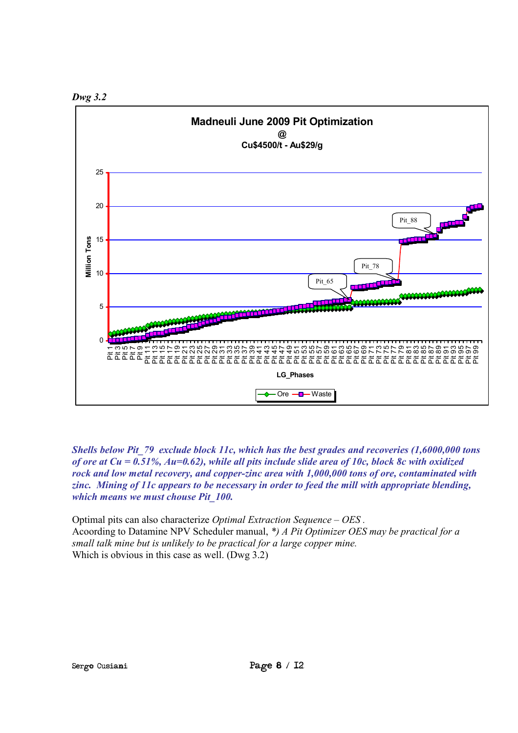



*Shells below Pit\_79 exclude block 11c, which has the best grades and recoveries (1,6000,000 tons of ore at Cu = 0.51%, Au=0.62), while all pits include slide area of 10c, block 8c with oxidized rock and low metal recovery, and copper-zinc area with 1,000,000 tons of ore, contaminated with zinc. Mining of 11c appears to be necessary in order to feed the mill with appropriate blending, which means we must chouse Pit\_100.* 

Optimal pits can also characterize *Optimal Extraction Sequence – OES .* Acoording to Datamine NPV Scheduler manual, *\*) A Pit Optimizer OES may be practical for a small talk mine but is unlikely to be practical for a large copper minе.* Which is obvious in this case as well. (Dwg 3.2)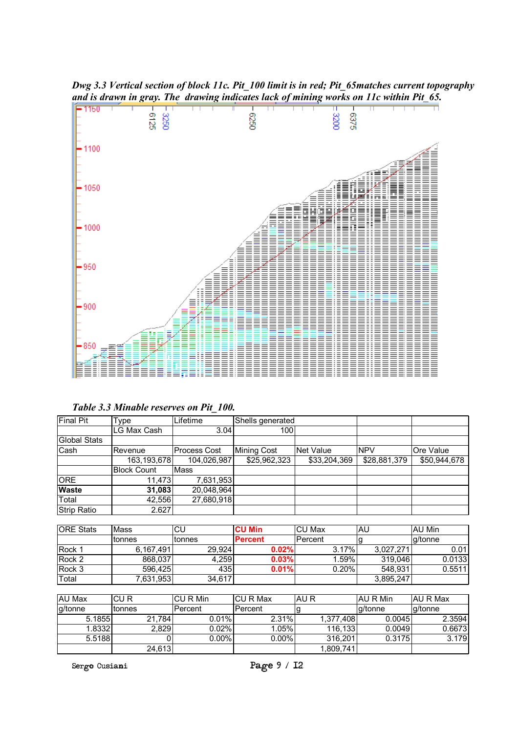

*Dwg 3.3 Vertical section of block 11c. Pit\_100 limit is in red; Pit\_65matches current topography and is drawn in gray. The drawing indicates lack of mining works on 11c within Pit\_65.* 

| Table 3.3 Minable reserves on Pit 100. |  |  |
|----------------------------------------|--|--|
|                                        |  |  |

| <b>Final Pit</b> | Type               | Lifetime     | Shells generated |              |              |              |
|------------------|--------------------|--------------|------------------|--------------|--------------|--------------|
|                  | LG Max Cash        | 3.04         | 100              |              |              |              |
| Global Stats     |                    |              |                  |              |              |              |
| Cash             | Revenue            | Process Cost | Mining Cost      | Net Value    | <b>NPV</b>   | Ore Value    |
|                  | 163,193,678        | 104,026,987  | \$25,962,323     | \$33,204,369 | \$28,881,379 | \$50,944,678 |
|                  | <b>Block Count</b> | <b>Mass</b>  |                  |              |              |              |
| <b>ORE</b>       | 11.473             | 7,631,953    |                  |              |              |              |
| <b>Waste</b>     | 31,083             | 20,048,964   |                  |              |              |              |
| Total            | 42,556             | 27,680,918   |                  |              |              |              |
| Strip Ratio      | 2.627              |              |                  |              |              |              |

| <b>ORE Stats</b> | Mass      | CU     | <b>CU Min</b>  | <b>CU Max</b> | AU        | AU Min  |
|------------------|-----------|--------|----------------|---------------|-----------|---------|
|                  | ∣tonnes   | tonnes | <b>Percent</b> | l Percent     |           | a/tonne |
| <b>Rock 1</b>    | 6.167.491 | 29.924 | 0.02%          | 3.17%         | 3.027.271 | 0.01    |
| Rock 2           | 868,037   | 4,259  | 0.03%          | .59%          | 319.046   | 0.0133  |
| Rock 3           | 596.425   | 435    | 0.01%          | 0.20%         | 548.931   | 0.5511  |
| Total            | 7,631,953 | 34,617 |                |               | 3,895,247 |         |

| AU Max  | CU R    | ICU R Min | ICU R Max | IAU R     | AU R Min | AU R Max |
|---------|---------|-----------|-----------|-----------|----------|----------|
| g/tonne | 'tonnes | lPercent  | l Percent |           | la/tonne | a/tonne  |
| 5.1855  | 21.784  | $0.01\%$  | 2.31%     | 1.377.408 | 0.0045   | 2.3594   |
| 1.8332  | 2,829   | 0.02%     | 1.05%     | 116.133   | 0.0049   | 0.6673   |
| 5.5188  |         | $0.00\%$  | $0.00\%$  | 316.201   | 0.3175   | 3.179    |
|         | 24,613  |           |           | 1,809,741 |          |          |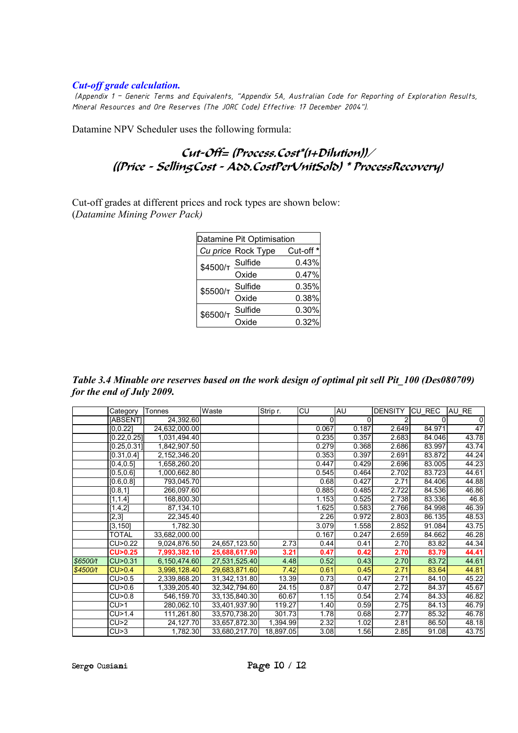#### *Cut-off grade calculation.*

*(Appendix 1 – Generic Terms and Equivalents, "Appendix 5A, Australian Code for Reporting of Exploration Results, Mineral Resources and Ore Reserves (The JORC Code) Effective: 17 December 2004").* 

Datamine NPV Scheduler uses the following formula:

### Cut-Off= (Process.Cost\*(1+Dilution))/ ((Pricå - SellingCost - Add.CostPerUnitSold) \* ProcessRecovery)

Cut-off grades at different prices and rock types are shown below: (*Datamine Mining Power Pack)* 

| Datamine Pit Optimisation      |                    |           |  |  |  |  |  |
|--------------------------------|--------------------|-----------|--|--|--|--|--|
|                                | Cu price Rock Type | Cut-off * |  |  |  |  |  |
| $$4500/\tau \frac{Sulfide}{2}$ |                    | 0.43%     |  |  |  |  |  |
|                                | Oxide              | 0.47%     |  |  |  |  |  |
| \$5500/T                       | Sulfide            | 0.35%     |  |  |  |  |  |
|                                | Oxide              | 0.38%     |  |  |  |  |  |
| \$6500/T                       | Sulfide            | 0.30%     |  |  |  |  |  |
|                                | Oxide              | 0.32%     |  |  |  |  |  |

*Table 3.4 Minable ore reserves based on the work design of optimal pit sell Pit\_100 (Des080709) for the end of July 2009.* 

|          | Category     | Tonnes        | Waste         | Strip r.  | CU    | AU       | <b>DENSITY</b> | CU_REC | AU_RE       |
|----------|--------------|---------------|---------------|-----------|-------|----------|----------------|--------|-------------|
|          | [ABSENT]     | 24,392.60     |               |           |       | $\Omega$ | 2              |        | $\mathbf 0$ |
|          | [0.0.22]     | 24,632,000.00 |               |           | 0.067 | 0.187    | 2.649          | 84.971 | 47          |
|          | [0.22, 0.25] | 1,031,494.40  |               |           | 0.235 | 0.357    | 2.683          | 84.046 | 43.78       |
|          | [0.25, 0.31] | 1,842,907.50  |               |           | 0.279 | 0.368    | 2.686          | 83.997 | 43.74       |
|          | [0.31, 0.4]  | 2,152,346.20  |               |           | 0.353 | 0.397    | 2.691          | 83.872 | 44.24       |
|          | [0.4, 0.5]   | 1,658,260.20  |               |           | 0.447 | 0.429    | 2.696          | 83.005 | 44.23       |
|          | [0.5, 0.6]   | 1,000,662.80  |               |           | 0.545 | 0.464    | 2.702          | 83.723 | 44.61       |
|          | [0.6, 0.8]   | 793,045.70    |               |           | 0.68  | 0.427    | 2.71           | 84.406 | 44.88       |
|          | [0.8, 1]     | 266,097.60    |               |           | 0.885 | 0.485    | 2.722          | 84.536 | 46.86       |
|          | [1, 1.4]     | 168,800.30    |               |           | 1.153 | 0.525    | 2.738          | 83.336 | 46.8        |
|          | [1.4,2]      | 87,134.10     |               |           | 1.625 | 0.583    | 2.766          | 84.998 | 46.39       |
|          | [2,3]        | 22,345.40     |               |           | 2.26  | 0.972    | 2.803          | 86.135 | 48.53       |
|          | [3, 150]     | 1,782.30      |               |           | 3.079 | 1.558    | 2.852          | 91.084 | 43.75       |
|          | <b>TOTAL</b> | 33,682,000.00 |               |           | 0.167 | 0.247    | 2.659          | 84.662 | 46.28       |
|          | CU>0.22      | 9,024,876.50  | 24,657,123.50 | 2.73      | 0.44  | 0.41     | 2.70           | 83.82  | 44.34       |
|          | CU>0.25      | 7,993,382.10  | 25,688,617.90 | 3.21      | 0.47  | 0.42     | 2.70           | 83.79  | 44.41       |
| \$6500/t | CU>0.31      | 6,150,474.60  | 27,531,525.40 | 4.48      | 0.52  | 0.43     | 2.70           | 83.72  | 44.61       |
| \$4500/t | CU>0.4       | 3,998,128.40  | 29,683,871.60 | 7.42      | 0.61  | 0.45     | 2.71           | 83.64  | 44.81       |
|          | CU>0.5       | 2,339,868.20  | 31,342,131.80 | 13.39     | 0.73  | 0.47     | 2.71           | 84.10  | 45.22       |
|          | CU>0.6       | 1,339,205.40  | 32,342,794.60 | 24.15     | 0.87  | 0.47     | 2.72           | 84.37  | 45.67       |
|          | CU>0.8       | 546,159.70    | 33,135,840.30 | 60.67     | 1.15  | 0.54     | 2.74           | 84.33  | 46.82       |
|          | CU>1         | 280,062.10    | 33,401,937.90 | 119.27    | 1.40  | 0.59     | 2.75           | 84.13  | 46.79       |
|          | CU>1.4       | 111,261.80    | 33,570,738.20 | 301.73    | 1.78  | 0.68     | 2.77           | 85.32  | 46.78       |
|          | CU>2         | 24,127.70     | 33,657,872.30 | 1,394.99  | 2.32  | 1.02     | 2.81           | 86.50  | 48.18       |
|          | CU>3         | 1,782.30      | 33,680,217.70 | 18,897.05 | 3.08  | 1.56     | 2.85           | 91.08  | 43.75       |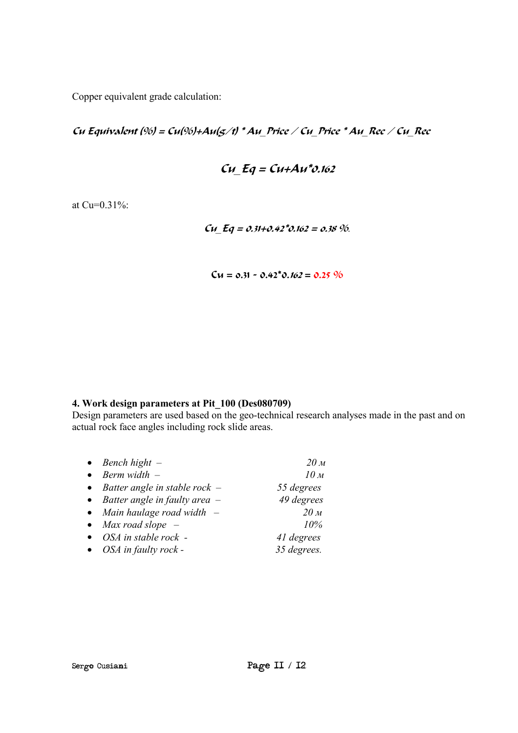Copper equivalent grade calculation:

Cu Equivalent  $(%) = Cu(\%) + Au(g/t) * Au$  Price / Cu Price \* Au Rec / Cu Rec

$$
Cu_{\_}Eq = Cu + Au^*v.162
$$

at Cu=0.31%:

Cu  $Eq = 0.31+0.42*0.162 = 0.38 \%$ .

 $Cu = 0.31 - 0.42^{\circ}0.162 = 0.25 \%$ 

### **4. Work design parameters at Pit\_100 (Des080709)**

Design parameters are used based on the geo-technical research analyses made in the past and on actual rock face angles including rock slide areas.

|           | $\bullet$ Bench hight $-$         | 20 <sub>M</sub> |
|-----------|-----------------------------------|-----------------|
| $\bullet$ | Berm width $-$                    | 10 <sub>M</sub> |
|           | • Batter angle in stable rock $-$ | 55 degrees      |
|           | • Batter angle in faulty area $-$ | 49 degrees      |
|           | • Main haulage road width $-$     | 20 <sub>M</sub> |
|           | • Max road slope $-$              | 10%             |
|           | $\bullet$ OSA in stable rock -    | 41 degrees      |
|           | $\bullet$ OSA in faulty rock -    | 35 degrees.     |